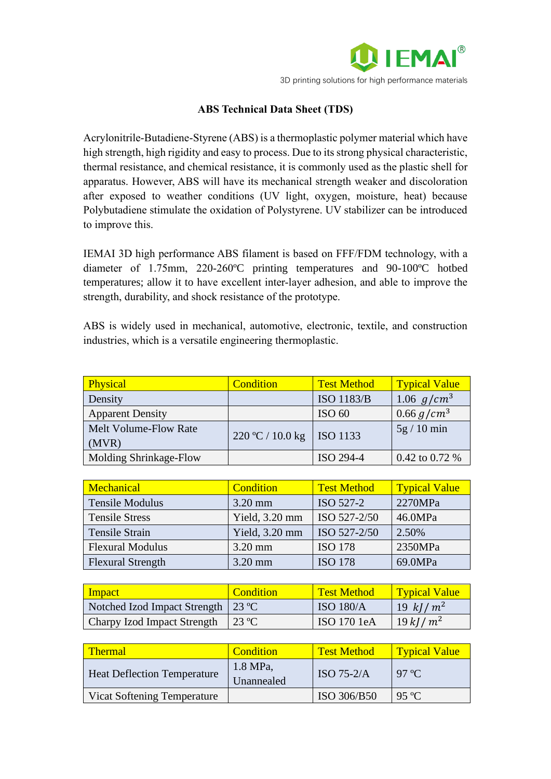

## **ABS Technical Data Sheet (TDS)**

Acrylonitrile-Butadiene-Styrene (ABS) is a thermoplastic polymer material which have high strength, high rigidity and easy to process. Due to its strong physical characteristic, thermal resistance, and chemical resistance, it is commonly used as the plastic shell for apparatus. However, ABS will have its mechanical strength weaker and discoloration after exposed to weather conditions (UV light, oxygen, moisture, heat) because Polybutadiene stimulate the oxidation of Polystyrene. UV stabilizer can be introduced to improve this.

IEMAI 3D high performance ABS filament is based on FFF/FDM technology, with a diameter of 1.75mm, 220-260ºC printing temperatures and 90-100ºC hotbed temperatures; allow it to have excellent inter-layer adhesion, and able to improve the strength, durability, and shock resistance of the prototype.

ABS is widely used in mechanical, automotive, electronic, textile, and construction industries, which is a versatile engineering thermoplastic.

| Physical                      | Condition        | <b>Test Method</b> | <b>Typical Value</b> |
|-------------------------------|------------------|--------------------|----------------------|
| Density                       |                  | <b>ISO 1183/B</b>  | 1.06 $g/cm^3$        |
| <b>Apparent Density</b>       |                  | ISO <sub>60</sub>  | $0.66 g/cm^{3}$      |
| Melt Volume-Flow Rate         | 220 °C / 10.0 kg | <b>ISO</b> 1133    | $5g/10$ min          |
| (MVR)                         |                  |                    |                      |
| <b>Molding Shrinkage-Flow</b> |                  | ISO 294-4          | 0.42 to 0.72 $%$     |

| <b>Mechanical</b>        | Condition      | <b>Test Method</b> | <b>Typical Value</b> |
|--------------------------|----------------|--------------------|----------------------|
| <b>Tensile Modulus</b>   | $3.20$ mm      | ISO 527-2          | 2270MPa              |
| <b>Tensile Stress</b>    | Yield, 3.20 mm | ISO 527-2/50       | 46.0MPa              |
| Tensile Strain           | Yield, 3.20 mm | ISO 527-2/50       | 2.50%                |
| <b>Flexural Modulus</b>  | $3.20$ mm      | <b>ISO 178</b>     | 2350MPa              |
| <b>Flexural Strength</b> | 3.20 mm        | <b>ISO 178</b>     | 69.0MPa              |

| <b>Impact</b>                        | Condition     | <b>Test Method</b> | <b>Typical Value</b> |
|--------------------------------------|---------------|--------------------|----------------------|
| Notched Izod Impact Strength   23 °C |               | <b>ISO 180/A</b>   | 19 kJ/ $m^2$         |
| Charpy Izod Impact Strength          | $\vert$ 23 °C | ISO 170 1eA        | $19 \; kJ/m^2$       |

| <b>Thermal</b>                     | <b>Condition</b>         | <b>Test Method</b> | <b>Typical Value</b> |
|------------------------------------|--------------------------|--------------------|----------------------|
| <b>Heat Deflection Temperature</b> | $1.8$ MPa,<br>Unannealed | ISO $75-2/A$       | 97 °C                |
| Vicat Softening Temperature        |                          | ISO 306/B50        | 95 °C                |